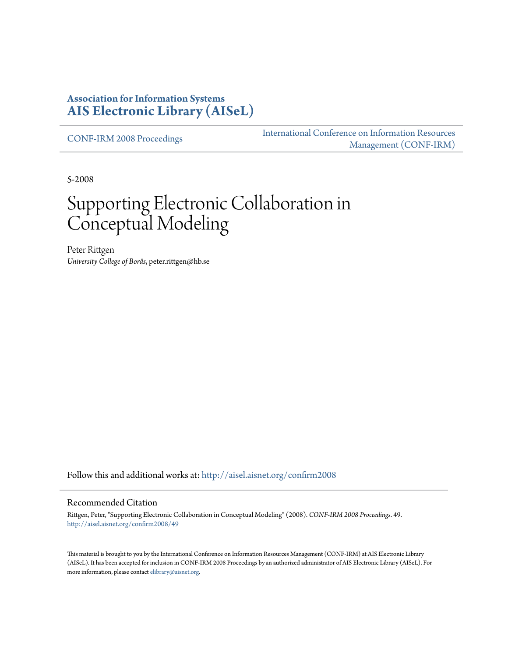#### **Association for Information Systems [AIS Electronic Library \(AISeL\)](http://aisel.aisnet.org?utm_source=aisel.aisnet.org%2Fconfirm2008%2F49&utm_medium=PDF&utm_campaign=PDFCoverPages)**

[CONF-IRM 2008 Proceedings](http://aisel.aisnet.org/confirm2008?utm_source=aisel.aisnet.org%2Fconfirm2008%2F49&utm_medium=PDF&utm_campaign=PDFCoverPages)

[International Conference on Information Resources](http://aisel.aisnet.org/conf-irm?utm_source=aisel.aisnet.org%2Fconfirm2008%2F49&utm_medium=PDF&utm_campaign=PDFCoverPages) [Management \(CONF-IRM\)](http://aisel.aisnet.org/conf-irm?utm_source=aisel.aisnet.org%2Fconfirm2008%2F49&utm_medium=PDF&utm_campaign=PDFCoverPages)

5-2008

# Supporting Electronic Collaboration in Conceptual Modeling

Peter Rittgen *University College of Borås*, peter.rittgen@hb.se

Follow this and additional works at: [http://aisel.aisnet.org/confirm2008](http://aisel.aisnet.org/confirm2008?utm_source=aisel.aisnet.org%2Fconfirm2008%2F49&utm_medium=PDF&utm_campaign=PDFCoverPages)

#### Recommended Citation

Rittgen, Peter, "Supporting Electronic Collaboration in Conceptual Modeling" (2008). *CONF-IRM 2008 Proceedings*. 49. [http://aisel.aisnet.org/confirm2008/49](http://aisel.aisnet.org/confirm2008/49?utm_source=aisel.aisnet.org%2Fconfirm2008%2F49&utm_medium=PDF&utm_campaign=PDFCoverPages)

This material is brought to you by the International Conference on Information Resources Management (CONF-IRM) at AIS Electronic Library (AISeL). It has been accepted for inclusion in CONF-IRM 2008 Proceedings by an authorized administrator of AIS Electronic Library (AISeL). For more information, please contact [elibrary@aisnet.org.](mailto:elibrary@aisnet.org%3E)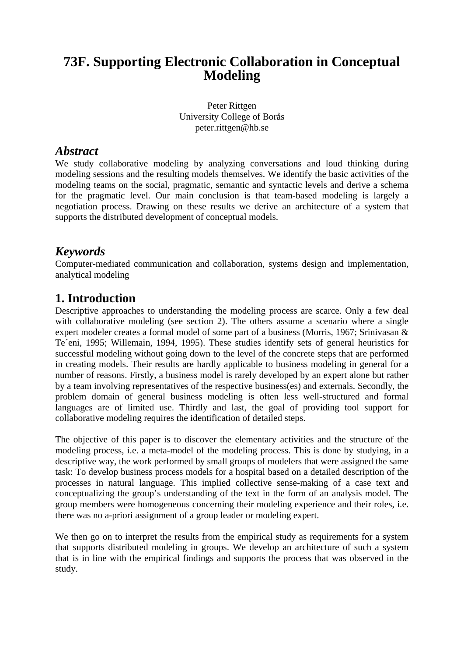# **73F. Supporting Electronic Collaboration in Conceptual Modeling**

Peter Rittgen University College of Borås peter.rittgen@hb.se

#### *Abstract*

We study collaborative modeling by analyzing conversations and loud thinking during modeling sessions and the resulting models themselves. We identify the basic activities of the modeling teams on the social, pragmatic, semantic and syntactic levels and derive a schema for the pragmatic level. Our main conclusion is that team-based modeling is largely a negotiation process. Drawing on these results we derive an architecture of a system that supports the distributed development of conceptual models.

# *Keywords*

Computer-mediated communication and collaboration, systems design and implementation, analytical modeling

# **1. Introduction**

Descriptive approaches to understanding the modeling process are scarce. Only a few deal with collaborative modeling (see section 2). The others assume a scenario where a single expert modeler creates a formal model of some part of a business (Morris, 1967; Srinivasan & Te´eni, 1995; Willemain, 1994, 1995). These studies identify sets of general heuristics for successful modeling without going down to the level of the concrete steps that are performed in creating models. Their results are hardly applicable to business modeling in general for a number of reasons. Firstly, a business model is rarely developed by an expert alone but rather by a team involving representatives of the respective business(es) and externals. Secondly, the problem domain of general business modeling is often less well-structured and formal languages are of limited use. Thirdly and last, the goal of providing tool support for collaborative modeling requires the identification of detailed steps.

The objective of this paper is to discover the elementary activities and the structure of the modeling process, i.e. a meta-model of the modeling process. This is done by studying, in a descriptive way, the work performed by small groups of modelers that were assigned the same task: To develop business process models for a hospital based on a detailed description of the processes in natural language. This implied collective sense-making of a case text and conceptualizing the group's understanding of the text in the form of an analysis model. The group members were homogeneous concerning their modeling experience and their roles, i.e. there was no a-priori assignment of a group leader or modeling expert.

We then go on to interpret the results from the empirical study as requirements for a system that supports distributed modeling in groups. We develop an architecture of such a system that is in line with the empirical findings and supports the process that was observed in the study.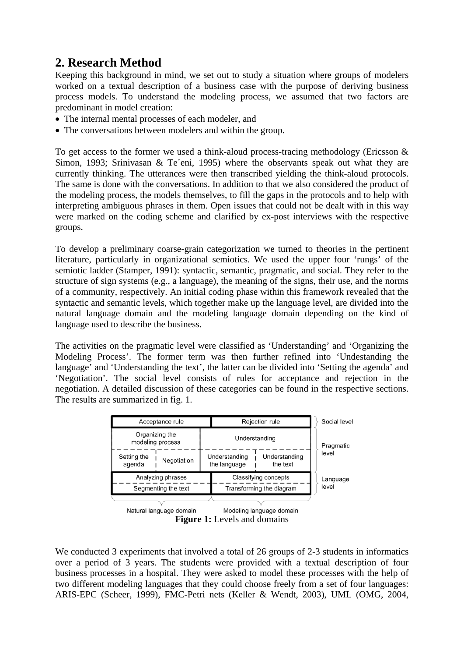# **2. Research Method**

Keeping this background in mind, we set out to study a situation where groups of modelers worked on a textual description of a business case with the purpose of deriving business process models. To understand the modeling process, we assumed that two factors are predominant in model creation:

- The internal mental processes of each modeler, and
- The conversations between modelers and within the group.

To get access to the former we used a think-aloud process-tracing methodology (Ericsson & Simon, 1993; Srinivasan & Te´eni, 1995) where the observants speak out what they are currently thinking. The utterances were then transcribed yielding the think-aloud protocols. The same is done with the conversations. In addition to that we also considered the product of the modeling process, the models themselves, to fill the gaps in the protocols and to help with interpreting ambiguous phrases in them. Open issues that could not be dealt with in this way were marked on the coding scheme and clarified by ex-post interviews with the respective groups.

To develop a preliminary coarse-grain categorization we turned to theories in the pertinent literature, particularly in organizational semiotics. We used the upper four 'rungs' of the semiotic ladder (Stamper, 1991): syntactic, semantic, pragmatic, and social. They refer to the structure of sign systems (e.g., a language), the meaning of the signs, their use, and the norms of a community, respectively. An initial coding phase within this framework revealed that the syntactic and semantic levels, which together make up the language level, are divided into the natural language domain and the modeling language domain depending on the kind of language used to describe the business.

The activities on the pragmatic level were classified as 'Understanding' and 'Organizing the Modeling Process'. The former term was then further refined into 'Undestanding the language' and 'Understanding the text', the latter can be divided into 'Setting the agenda' and 'Negotiation'. The social level consists of rules for acceptance and rejection in the negotiation. A detailed discussion of these categories can be found in the respective sections. The results are summarized in fig. 1.



We conducted 3 experiments that involved a total of 26 groups of 2-3 students in informatics over a period of 3 years. The students were provided with a textual description of four business processes in a hospital. They were asked to model these processes with the help of two different modeling languages that they could choose freely from a set of four languages: ARIS-EPC (Scheer, 1999), FMC-Petri nets (Keller & Wendt, 2003), UML (OMG, 2004,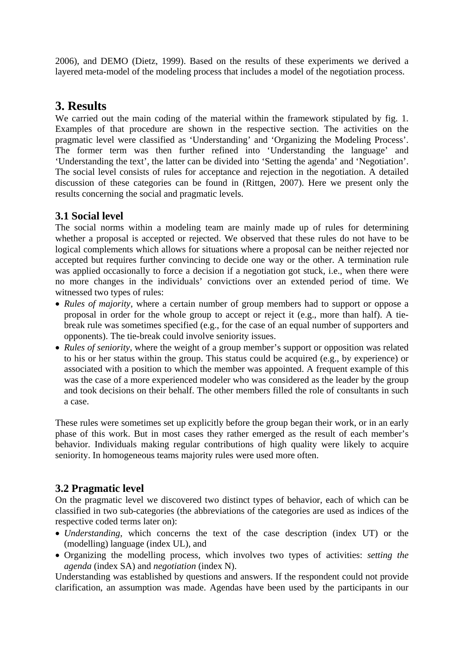2006), and DEMO (Dietz, 1999). Based on the results of these experiments we derived a layered meta-model of the modeling process that includes a model of the negotiation process.

## **3. Results**

We carried out the main coding of the material within the framework stipulated by fig. 1. Examples of that procedure are shown in the respective section. The activities on the pragmatic level were classified as 'Understanding' and 'Organizing the Modeling Process'. The former term was then further refined into 'Understanding the language' and 'Understanding the text', the latter can be divided into 'Setting the agenda' and 'Negotiation'. The social level consists of rules for acceptance and rejection in the negotiation. A detailed discussion of these categories can be found in (Rittgen, 2007). Here we present only the results concerning the social and pragmatic levels.

#### **3.1 Social level**

The social norms within a modeling team are mainly made up of rules for determining whether a proposal is accepted or rejected. We observed that these rules do not have to be logical complements which allows for situations where a proposal can be neither rejected nor accepted but requires further convincing to decide one way or the other. A termination rule was applied occasionally to force a decision if a negotiation got stuck, i.e., when there were no more changes in the individuals' convictions over an extended period of time. We witnessed two types of rules:

- *Rules of majority*, where a certain number of group members had to support or oppose a proposal in order for the whole group to accept or reject it (e.g., more than half). A tiebreak rule was sometimes specified (e.g., for the case of an equal number of supporters and opponents). The tie-break could involve seniority issues.
- *Rules of seniority*, where the weight of a group member's support or opposition was related to his or her status within the group. This status could be acquired (e.g., by experience) or associated with a position to which the member was appointed. A frequent example of this was the case of a more experienced modeler who was considered as the leader by the group and took decisions on their behalf. The other members filled the role of consultants in such a case.

These rules were sometimes set up explicitly before the group began their work, or in an early phase of this work. But in most cases they rather emerged as the result of each member's behavior. Individuals making regular contributions of high quality were likely to acquire seniority. In homogeneous teams majority rules were used more often.

#### **3.2 Pragmatic level**

On the pragmatic level we discovered two distinct types of behavior, each of which can be classified in two sub-categories (the abbreviations of the categories are used as indices of the respective coded terms later on):

- *Understanding*, which concerns the text of the case description (index UT) or the (modelling) language (index UL), and
- Organizing the modelling process, which involves two types of activities: *setting the agenda* (index SA) and *negotiation* (index N).

Understanding was established by questions and answers. If the respondent could not provide clarification, an assumption was made. Agendas have been used by the participants in our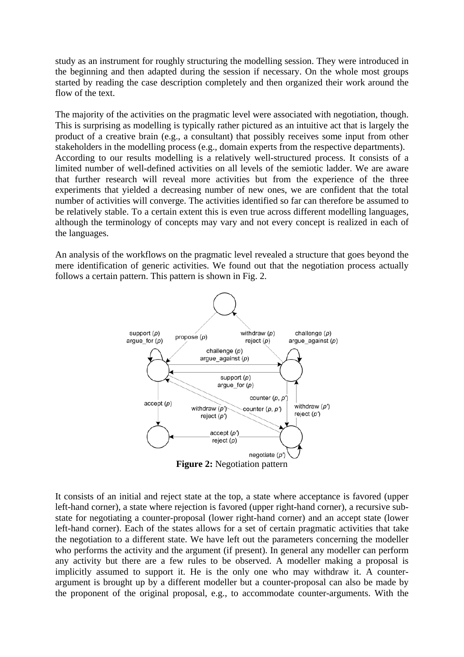study as an instrument for roughly structuring the modelling session. They were introduced in the beginning and then adapted during the session if necessary. On the whole most groups started by reading the case description completely and then organized their work around the flow of the text.

The majority of the activities on the pragmatic level were associated with negotiation, though. This is surprising as modelling is typically rather pictured as an intuitive act that is largely the product of a creative brain (e.g., a consultant) that possibly receives some input from other stakeholders in the modelling process (e.g., domain experts from the respective departments). According to our results modelling is a relatively well-structured process. It consists of a limited number of well-defined activities on all levels of the semiotic ladder. We are aware that further research will reveal more activities but from the experience of the three experiments that yielded a decreasing number of new ones, we are confident that the total number of activities will converge. The activities identified so far can therefore be assumed to be relatively stable. To a certain extent this is even true across different modelling languages, although the terminology of concepts may vary and not every concept is realized in each of the languages.

An analysis of the workflows on the pragmatic level revealed a structure that goes beyond the mere identification of generic activities. We found out that the negotiation process actually follows a certain pattern. This pattern is shown in Fig. 2.



It consists of an initial and reject state at the top, a state where acceptance is favored (upper left-hand corner), a state where rejection is favored (upper right-hand corner), a recursive substate for negotiating a counter-proposal (lower right-hand corner) and an accept state (lower left-hand corner). Each of the states allows for a set of certain pragmatic activities that take the negotiation to a different state. We have left out the parameters concerning the modeller who performs the activity and the argument (if present). In general any modeller can perform any activity but there are a few rules to be observed. A modeller making a proposal is implicitly assumed to support it. He is the only one who may withdraw it. A counterargument is brought up by a different modeller but a counter-proposal can also be made by the proponent of the original proposal, e.g., to accommodate counter-arguments. With the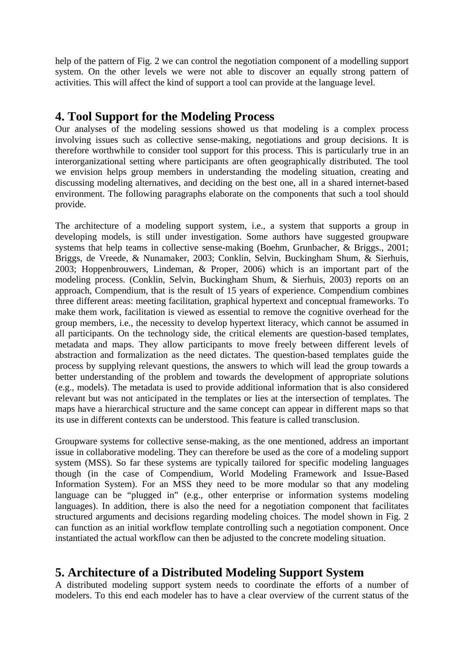help of the pattern of Fig. 2 we can control the negotiation component of a modelling support system. On the other levels we were not able to discover an equally strong pattern of activities. This will affect the kind of support a tool can provide at the language level.

## **4. Tool Support for the Modeling Process**

Our analyses of the modeling sessions showed us that modeling is a complex process involving issues such as collective sense-making, negotiations and group decisions. It is therefore worthwhile to consider tool support for this process. This is particularly true in an interorganizational setting where participants are often geographically distributed. The tool we envision helps group members in understanding the modeling situation, creating and discussing modeling alternatives, and deciding on the best one, all in a shared internet-based environment. The following paragraphs elaborate on the components that such a tool should provide.

The architecture of a modeling support system, i.e., a system that supports a group in developing models, is still under investigation. Some authors have suggested groupware systems that help teams in collective sense-making (Boehm, Grunbacher, & Briggs., 2001; Briggs, de Vreede, & Nunamaker, 2003; Conklin, Selvin, Buckingham Shum, & Sierhuis, 2003; Hoppenbrouwers, Lindeman, & Proper, 2006) which is an important part of the modeling process. (Conklin, Selvin, Buckingham Shum, & Sierhuis, 2003) reports on an approach, Compendium, that is the result of 15 years of experience. Compendium combines three different areas: meeting facilitation, graphical hypertext and conceptual frameworks. To make them work, facilitation is viewed as essential to remove the cognitive overhead for the group members, i.e., the necessity to develop hypertext literacy, which cannot be assumed in all participants. On the technology side, the critical elements are question-based templates, metadata and maps. They allow participants to move freely between different levels of abstraction and formalization as the need dictates. The question-based templates guide the process by supplying relevant questions, the answers to which will lead the group towards a better understanding of the problem and towards the development of appropriate solutions (e.g., models). The metadata is used to provide additional information that is also considered relevant but was not anticipated in the templates or lies at the intersection of templates. The maps have a hierarchical structure and the same concept can appear in different maps so that its use in different contexts can be understood. This feature is called transclusion.

Groupware systems for collective sense-making, as the one mentioned, address an important issue in collaborative modeling. They can therefore be used as the core of a modeling support system (MSS). So far these systems are typically tailored for specific modeling languages though (in the case of Compendium, World Modeling Framework and Issue-Based Information System). For an MSS they need to be more modular so that any modeling language can be "plugged in" (e.g., other enterprise or information systems modeling languages). In addition, there is also the need for a negotiation component that facilitates structured arguments and decisions regarding modeling choices. The model shown in Fig. 2 can function as an initial workflow template controlling such a negotiation component. Once instantiated the actual workflow can then be adjusted to the concrete modeling situation.

# **5. Architecture of a Distributed Modeling Support System**

A distributed modeling support system needs to coordinate the efforts of a number of modelers. To this end each modeler has to have a clear overview of the current status of the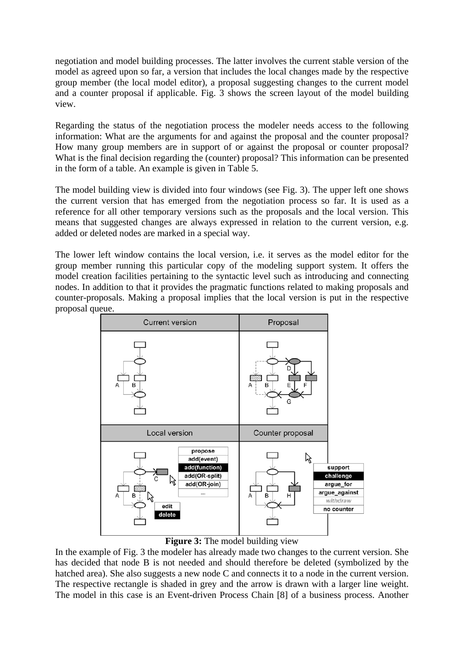negotiation and model building processes. The latter involves the current stable version of the model as agreed upon so far, a version that includes the local changes made by the respective group member (the local model editor), a proposal suggesting changes to the current model and a counter proposal if applicable. Fig. 3 shows the screen layout of the model building view.

Regarding the status of the negotiation process the modeler needs access to the following information: What are the arguments for and against the proposal and the counter proposal? How many group members are in support of or against the proposal or counter proposal? What is the final decision regarding the (counter) proposal? This information can be presented in the form of a table. An example is given in Table 5.

The model building view is divided into four windows (see Fig. 3). The upper left one shows the current version that has emerged from the negotiation process so far. It is used as a reference for all other temporary versions such as the proposals and the local version. This means that suggested changes are always expressed in relation to the current version, e.g. added or deleted nodes are marked in a special way.

The lower left window contains the local version, i.e. it serves as the model editor for the group member running this particular copy of the modeling support system. It offers the model creation facilities pertaining to the syntactic level such as introducing and connecting nodes. In addition to that it provides the pragmatic functions related to making proposals and counter-proposals. Making a proposal implies that the local version is put in the respective proposal queue.



**Figure 3:** The model building view

In the example of Fig. 3 the modeler has already made two changes to the current version. She has decided that node B is not needed and should therefore be deleted (symbolized by the hatched area). She also suggests a new node C and connects it to a node in the current version. The respective rectangle is shaded in grey and the arrow is drawn with a larger line weight. The model in this case is an Event-driven Process Chain [8] of a business process. Another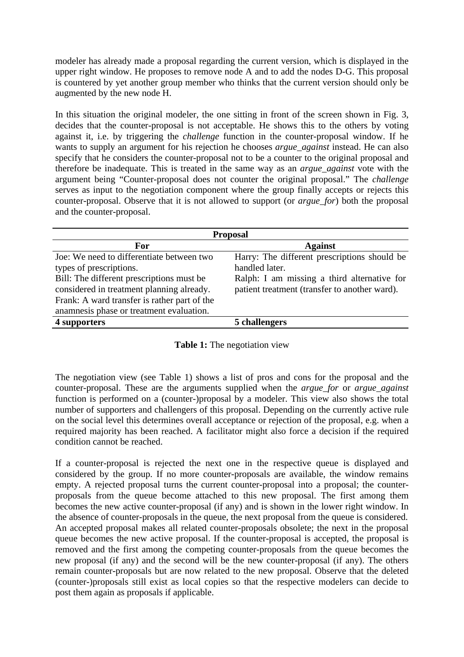modeler has already made a proposal regarding the current version, which is displayed in the upper right window. He proposes to remove node A and to add the nodes D-G. This proposal is countered by yet another group member who thinks that the current version should only be augmented by the new node H.

In this situation the original modeler, the one sitting in front of the screen shown in Fig. 3, decides that the counter-proposal is not acceptable. He shows this to the others by voting against it, i.e. by triggering the *challenge* function in the counter-proposal window. If he wants to supply an argument for his rejection he chooses *argue\_against* instead. He can also specify that he considers the counter-proposal not to be a counter to the original proposal and therefore be inadequate. This is treated in the same way as an *argue\_against* vote with the argument being "Counter-proposal does not counter the original proposal." The *challenge* serves as input to the negotiation component where the group finally accepts or rejects this counter-proposal. Observe that it is not allowed to support (or *argue\_for*) both the proposal and the counter-proposal.

| <b>Proposal</b>                              |                                               |
|----------------------------------------------|-----------------------------------------------|
| For                                          | <b>Against</b>                                |
| Joe: We need to differentiate between two    | Harry: The different prescriptions should be  |
| types of prescriptions.                      | handled later.                                |
| Bill: The different prescriptions must be    | Ralph: I am missing a third alternative for   |
| considered in treatment planning already.    | patient treatment (transfer to another ward). |
| Frank: A ward transfer is rather part of the |                                               |
| anamnesis phase or treatment evaluation.     |                                               |
| 4 supporters                                 | 5 challengers                                 |

**Table 1:** The negotiation view

The negotiation view (see Table 1) shows a list of pros and cons for the proposal and the counter-proposal. These are the arguments supplied when the *argue\_for* or *argue\_against* function is performed on a (counter-)proposal by a modeler. This view also shows the total number of supporters and challengers of this proposal. Depending on the currently active rule on the social level this determines overall acceptance or rejection of the proposal, e.g. when a required majority has been reached. A facilitator might also force a decision if the required condition cannot be reached.

If a counter-proposal is rejected the next one in the respective queue is displayed and considered by the group. If no more counter-proposals are available, the window remains empty. A rejected proposal turns the current counter-proposal into a proposal; the counterproposals from the queue become attached to this new proposal. The first among them becomes the new active counter-proposal (if any) and is shown in the lower right window. In the absence of counter-proposals in the queue, the next proposal from the queue is considered. An accepted proposal makes all related counter-proposals obsolete; the next in the proposal queue becomes the new active proposal. If the counter-proposal is accepted, the proposal is removed and the first among the competing counter-proposals from the queue becomes the new proposal (if any) and the second will be the new counter-proposal (if any). The others remain counter-proposals but are now related to the new proposal. Observe that the deleted (counter-)proposals still exist as local copies so that the respective modelers can decide to post them again as proposals if applicable.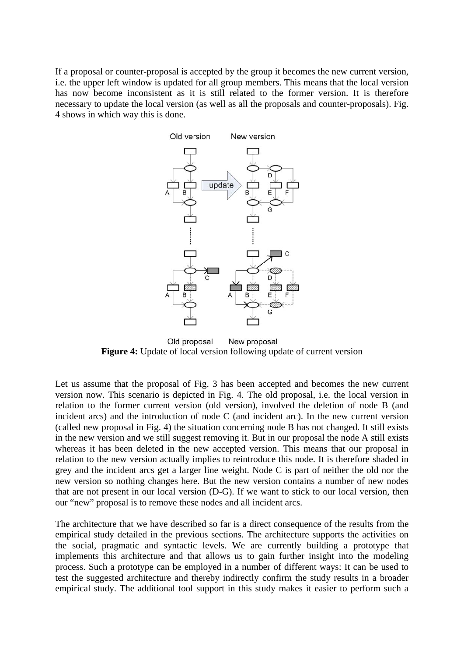If a proposal or counter-proposal is accepted by the group it becomes the new current version, i.e. the upper left window is updated for all group members. This means that the local version has now become inconsistent as it is still related to the former version. It is therefore necessary to update the local version (as well as all the proposals and counter-proposals). Fig. 4 shows in which way this is done.



Old proposal New proposal **Figure 4:** Update of local version following update of current version

Let us assume that the proposal of Fig. 3 has been accepted and becomes the new current version now. This scenario is depicted in Fig. 4. The old proposal, i.e. the local version in relation to the former current version (old version), involved the deletion of node B (and incident arcs) and the introduction of node C (and incident arc). In the new current version (called new proposal in Fig. 4) the situation concerning node B has not changed. It still exists in the new version and we still suggest removing it. But in our proposal the node A still exists whereas it has been deleted in the new accepted version. This means that our proposal in relation to the new version actually implies to reintroduce this node. It is therefore shaded in grey and the incident arcs get a larger line weight. Node C is part of neither the old nor the new version so nothing changes here. But the new version contains a number of new nodes that are not present in our local version (D-G). If we want to stick to our local version, then our "new" proposal is to remove these nodes and all incident arcs.

The architecture that we have described so far is a direct consequence of the results from the empirical study detailed in the previous sections. The architecture supports the activities on the social, pragmatic and syntactic levels. We are currently building a prototype that implements this architecture and that allows us to gain further insight into the modeling process. Such a prototype can be employed in a number of different ways: It can be used to test the suggested architecture and thereby indirectly confirm the study results in a broader empirical study. The additional tool support in this study makes it easier to perform such a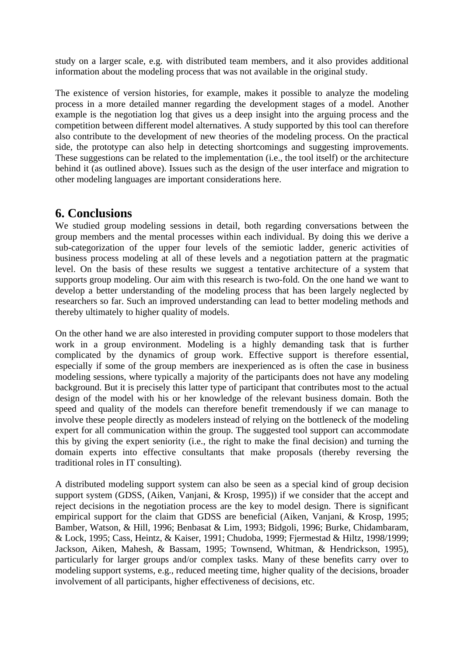study on a larger scale, e.g. with distributed team members, and it also provides additional information about the modeling process that was not available in the original study.

The existence of version histories, for example, makes it possible to analyze the modeling process in a more detailed manner regarding the development stages of a model. Another example is the negotiation log that gives us a deep insight into the arguing process and the competition between different model alternatives. A study supported by this tool can therefore also contribute to the development of new theories of the modeling process. On the practical side, the prototype can also help in detecting shortcomings and suggesting improvements. These suggestions can be related to the implementation (i.e., the tool itself) or the architecture behind it (as outlined above). Issues such as the design of the user interface and migration to other modeling languages are important considerations here.

#### **6. Conclusions**

We studied group modeling sessions in detail, both regarding conversations between the group members and the mental processes within each individual. By doing this we derive a sub-categorization of the upper four levels of the semiotic ladder, generic activities of business process modeling at all of these levels and a negotiation pattern at the pragmatic level. On the basis of these results we suggest a tentative architecture of a system that supports group modeling. Our aim with this research is two-fold. On the one hand we want to develop a better understanding of the modeling process that has been largely neglected by researchers so far. Such an improved understanding can lead to better modeling methods and thereby ultimately to higher quality of models.

On the other hand we are also interested in providing computer support to those modelers that work in a group environment. Modeling is a highly demanding task that is further complicated by the dynamics of group work. Effective support is therefore essential, especially if some of the group members are inexperienced as is often the case in business modeling sessions, where typically a majority of the participants does not have any modeling background. But it is precisely this latter type of participant that contributes most to the actual design of the model with his or her knowledge of the relevant business domain. Both the speed and quality of the models can therefore benefit tremendously if we can manage to involve these people directly as modelers instead of relying on the bottleneck of the modeling expert for all communication within the group. The suggested tool support can accommodate this by giving the expert seniority (i.e., the right to make the final decision) and turning the domain experts into effective consultants that make proposals (thereby reversing the traditional roles in IT consulting).

A distributed modeling support system can also be seen as a special kind of group decision support system (GDSS, (Aiken, Vanjani, & Krosp, 1995)) if we consider that the accept and reject decisions in the negotiation process are the key to model design. There is significant empirical support for the claim that GDSS are beneficial (Aiken, Vanjani, & Krosp, 1995; Bamber, Watson, & Hill, 1996; Benbasat & Lim, 1993; Bidgoli, 1996; Burke, Chidambaram, & Lock, 1995; Cass, Heintz, & Kaiser, 1991; Chudoba, 1999; Fjermestad & Hiltz, 1998/1999; Jackson, Aiken, Mahesh, & Bassam, 1995; Townsend, Whitman, & Hendrickson, 1995), particularly for larger groups and/or complex tasks. Many of these benefits carry over to modeling support systems, e.g., reduced meeting time, higher quality of the decisions, broader involvement of all participants, higher effectiveness of decisions, etc.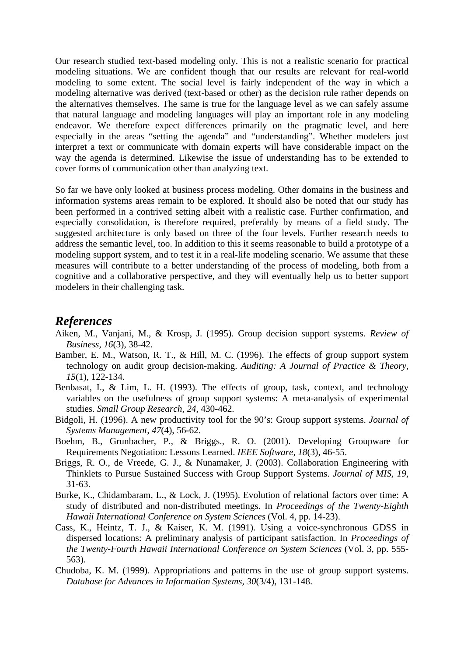Our research studied text-based modeling only. This is not a realistic scenario for practical modeling situations. We are confident though that our results are relevant for real-world modeling to some extent. The social level is fairly independent of the way in which a modeling alternative was derived (text-based or other) as the decision rule rather depends on the alternatives themselves. The same is true for the language level as we can safely assume that natural language and modeling languages will play an important role in any modeling endeavor. We therefore expect differences primarily on the pragmatic level, and here especially in the areas "setting the agenda" and "understanding". Whether modelers just interpret a text or communicate with domain experts will have considerable impact on the way the agenda is determined. Likewise the issue of understanding has to be extended to cover forms of communication other than analyzing text.

So far we have only looked at business process modeling. Other domains in the business and information systems areas remain to be explored. It should also be noted that our study has been performed in a contrived setting albeit with a realistic case. Further confirmation, and especially consolidation, is therefore required, preferably by means of a field study. The suggested architecture is only based on three of the four levels. Further research needs to address the semantic level, too. In addition to this it seems reasonable to build a prototype of a modeling support system, and to test it in a real-life modeling scenario. We assume that these measures will contribute to a better understanding of the process of modeling, both from a cognitive and a collaborative perspective, and they will eventually help us to better support modelers in their challenging task.

#### *References*

- Aiken, M., Vanjani, M., & Krosp, J. (1995). Group decision support systems. *Review of Business, 16*(3), 38-42.
- Bamber, E. M., Watson, R. T., & Hill, M. C. (1996). The effects of group support system technology on audit group decision-making. *Auditing: A Journal of Practice & Theory, 15*(1), 122-134.
- Benbasat, I., & Lim, L. H. (1993). The effects of group, task, context, and technology variables on the usefulness of group support systems: A meta-analysis of experimental studies. *Small Group Research, 24*, 430-462.
- Bidgoli, H. (1996). A new productivity tool for the 90's: Group support systems. *Journal of Systems Management, 47*(4), 56-62.
- Boehm, B., Grunbacher, P., & Briggs., R. O. (2001). Developing Groupware for Requirements Negotiation: Lessons Learned. *IEEE Software, 18*(3), 46-55.
- Briggs, R. O., de Vreede, G. J., & Nunamaker, J. (2003). Collaboration Engineering with Thinklets to Pursue Sustained Success with Group Support Systems. *Journal of MIS, 19*, 31-63.
- Burke, K., Chidambaram, L., & Lock, J. (1995). Evolution of relational factors over time: A study of distributed and non-distributed meetings. In *Proceedings of the Twenty-Eighth Hawaii International Conference on System Sciences* (Vol. 4, pp. 14-23).
- Cass, K., Heintz, T. J., & Kaiser, K. M. (1991). Using a voice-synchronous GDSS in dispersed locations: A preliminary analysis of participant satisfaction. In *Proceedings of the Twenty-Fourth Hawaii International Conference on System Sciences* (Vol. 3, pp. 555- 563).
- Chudoba, K. M. (1999). Appropriations and patterns in the use of group support systems. *Database for Advances in Information Systems, 30*(3/4), 131-148.